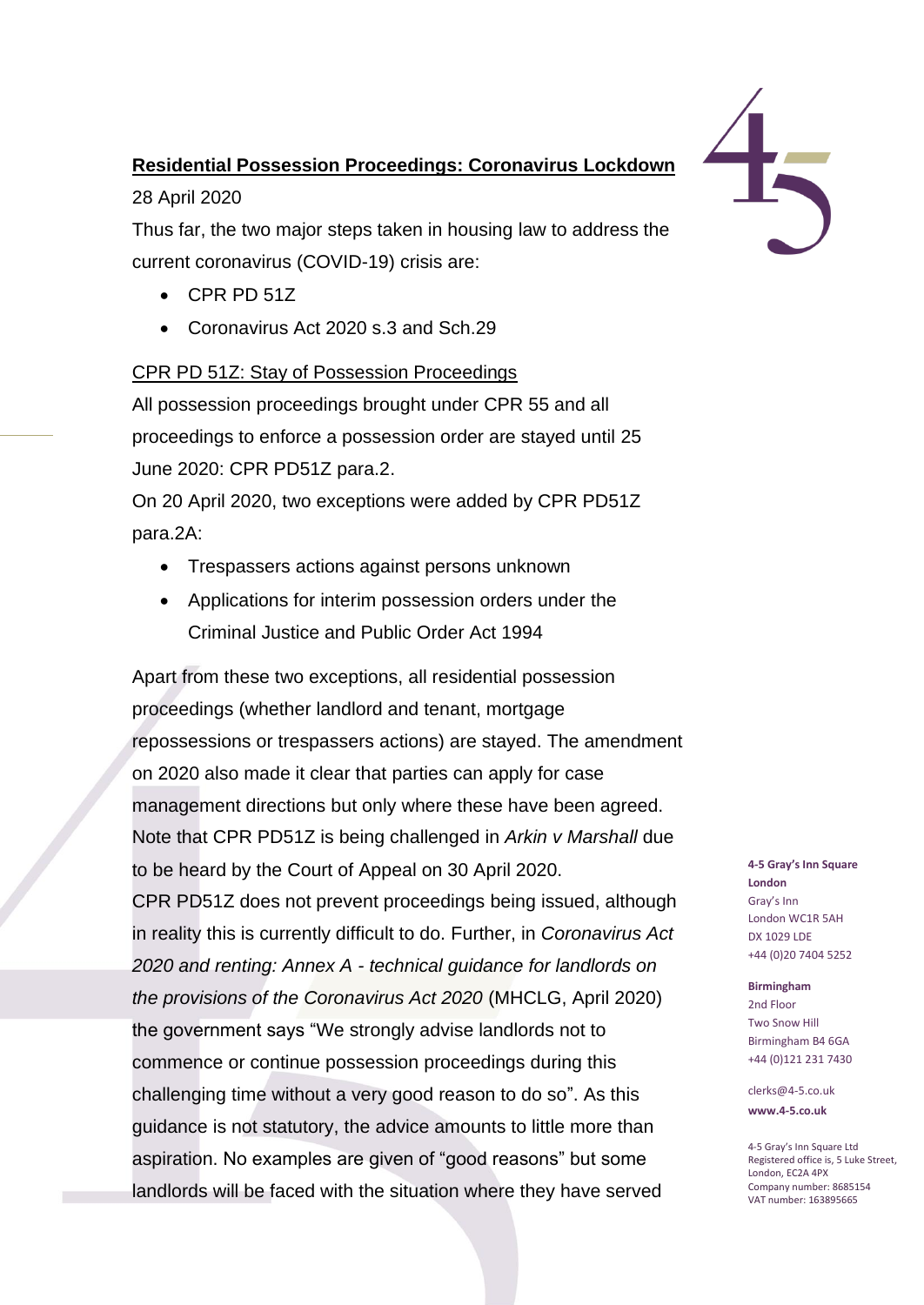# **Residential Possession Proceedings: Coronavirus Lockdown**

28 April 2020

Thus far, the two major steps taken in housing law to address the current coronavirus (COVID-19) crisis are:

- CPR PD 51Z
- Coronavirus Act 2020 s.3 and Sch.29

# CPR PD 51Z: Stay of Possession Proceedings

All possession proceedings brought under CPR 55 and all proceedings to enforce a possession order are stayed until 25 June 2020: CPR PD51Z para.2.

On 20 April 2020, two exceptions were added by CPR PD51Z para.2A:

- Trespassers actions against persons unknown
- Applications for interim possession orders under the Criminal Justice and Public Order Act 1994

Apart from these two exceptions, all residential possession proceedings (whether landlord and tenant, mortgage repossessions or trespassers actions) are stayed. The amendment on 2020 also made it clear that parties can apply for case management directions but only where these have been agreed. Note that CPR PD51Z is being challenged in *Arkin v Marshall* due to be heard by the Court of Appeal on 30 April 2020. CPR PD51Z does not prevent proceedings being issued, although in reality this is currently difficult to do. Further, in *Coronavirus Act 2020 and renting: Annex A - technical guidance for landlords on the provisions of the Coronavirus Act 2020* (MHCLG, April 2020) the government says "We strongly advise landlords not to commence or continue possession proceedings during this challenging time without a very good reason to do so". As this guidance is not statutory, the advice amounts to little more than aspiration. No examples are given of "good reasons" but some landlords will be faced with the situation where they have served



### **4-5 Gray's Inn Square London** Gray's Inn London WC1R 5AH DX 1029 LDE +44 (0)20 7404 5252

### **Birmingham**

2nd Floor Two Snow Hill Birmingham B4 6GA +44 (0)121 231 7430

clerks@4-5.co.uk **www.4-5.co.uk**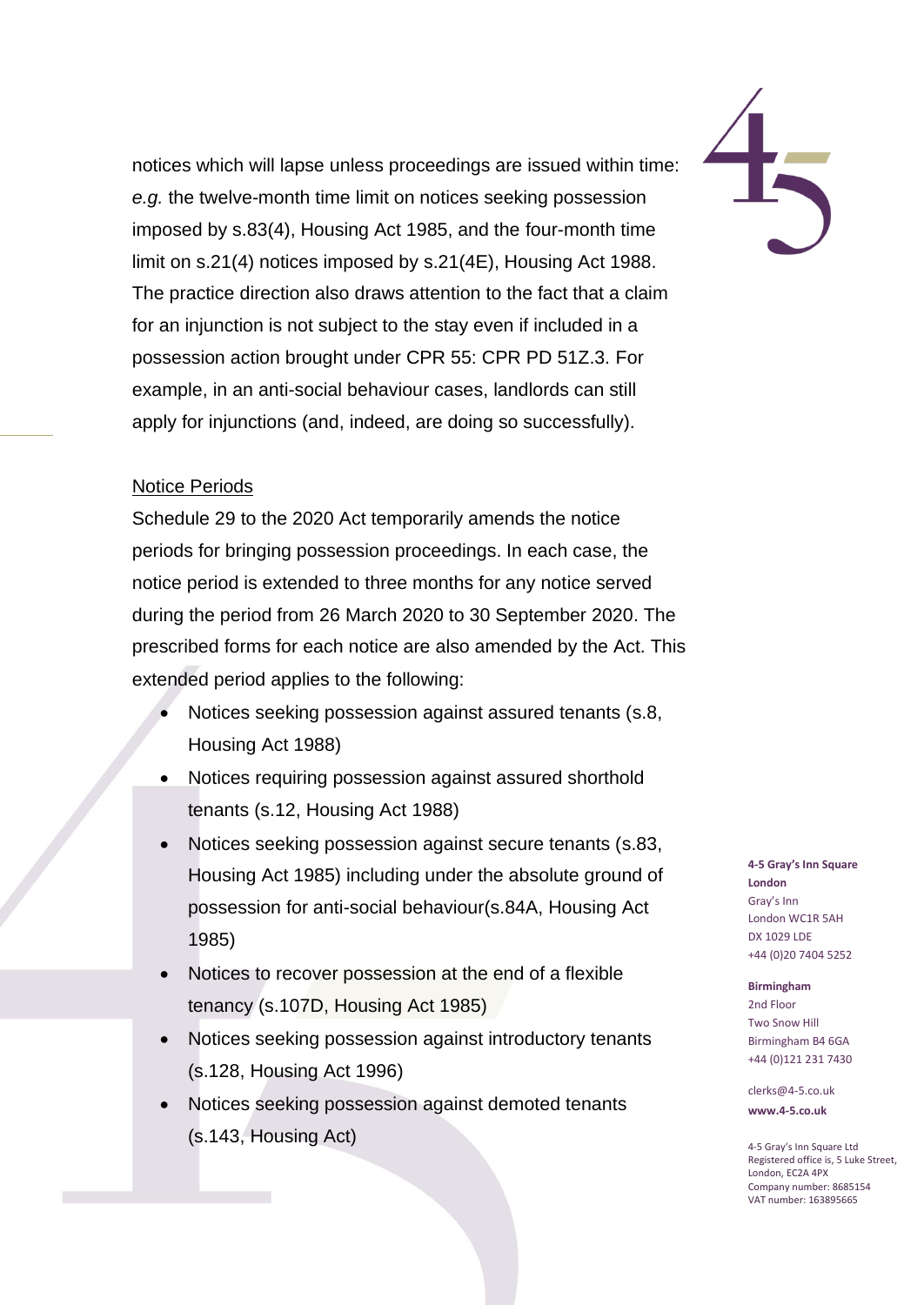notices which will lapse unless proceedings are issued within time: *e.g.* the twelve-month time limit on notices seeking possession imposed by s.83(4), Housing Act 1985, and the four-month time limit on s.21(4) notices imposed by s.21(4E), Housing Act 1988. The practice direction also draws attention to the fact that a claim for an injunction is not subject to the stay even if included in a possession action brought under CPR 55: CPR PD 51Z.3. For example, in an anti-social behaviour cases, landlords can still apply for injunctions (and, indeed, are doing so successfully).

### Notice Periods

Schedule 29 to the 2020 Act temporarily amends the notice periods for bringing possession proceedings. In each case, the notice period is extended to three months for any notice served during the period from 26 March 2020 to 30 September 2020. The prescribed forms for each notice are also amended by the Act. This extended period applies to the following:

- Notices seeking possession against assured tenants (s.8, Housing Act 1988)
- Notices requiring possession against assured shorthold tenants (s.12, Housing Act 1988)
- Notices seeking possession against secure tenants (s.83, Housing Act 1985) including under the absolute ground of possession for anti-social behaviour(s.84A, Housing Act 1985)
- Notices to recover possession at the end of a flexible tenancy (s.107D, Housing Act 1985)
- Notices seeking possession against introductory tenants (s.128, Housing Act 1996)
- Notices seeking possession against demoted tenants (s.143, Housing Act)

**4-5 Gray's Inn Square London** Gray's Inn London WC1R 5AH DX 1029 LDE +44 (0)20 7404 5252

#### **Birmingham**

2nd Floor Two Snow Hill Birmingham B4 6GA +44 (0)121 231 7430

clerks@4-5.co.uk **www.4-5.co.uk**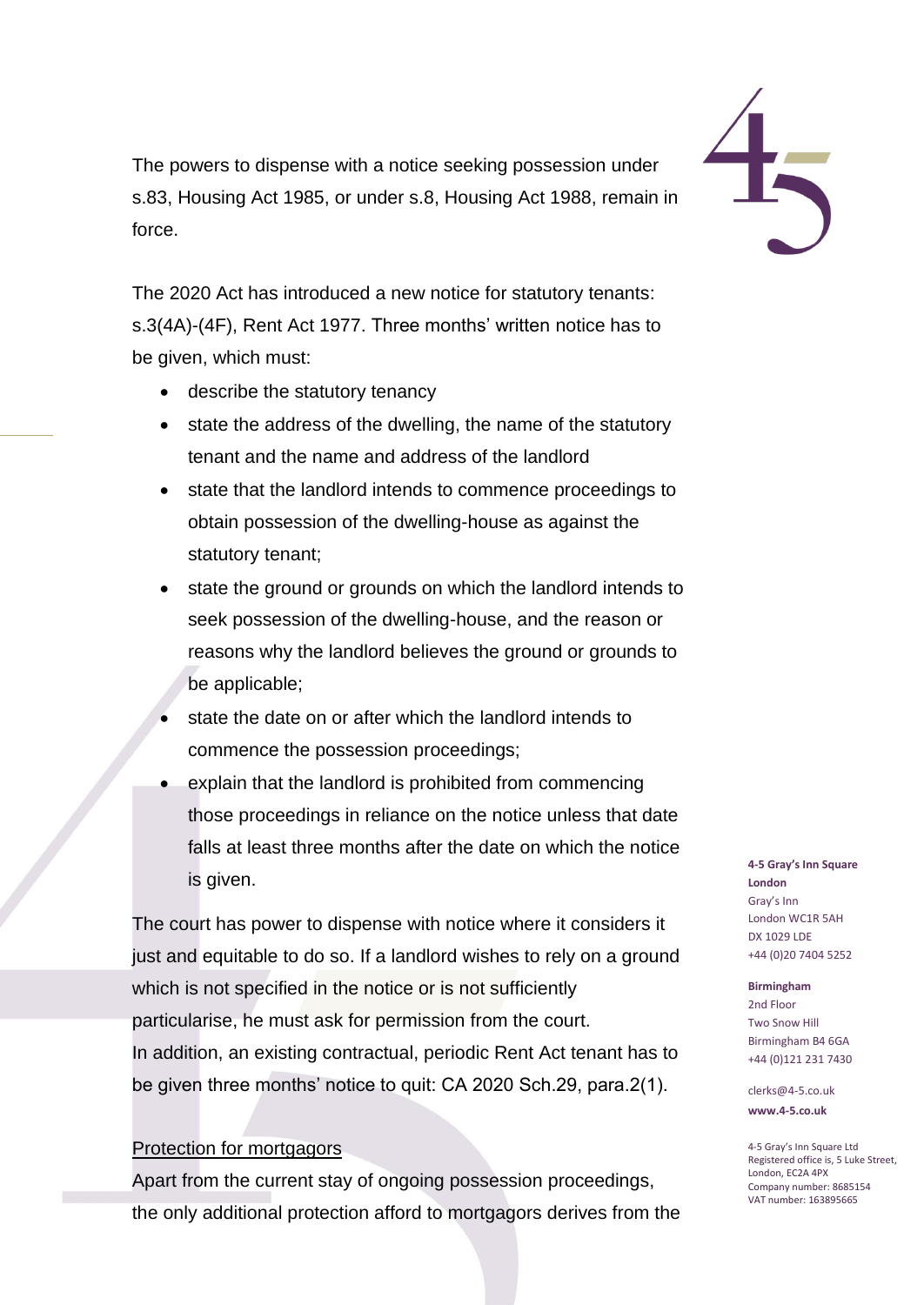The powers to dispense with a notice seeking possession under s.83, Housing Act 1985, or under s.8, Housing Act 1988, remain in force.

The 2020 Act has introduced a new notice for statutory tenants: s.3(4A)-(4F), Rent Act 1977. Three months' written notice has to be given, which must:

- describe the statutory tenancy
- state the address of the dwelling, the name of the statutory tenant and the name and address of the landlord
- state that the landlord intends to commence proceedings to obtain possession of the dwelling-house as against the statutory tenant;
- state the ground or grounds on which the landlord intends to seek possession of the dwelling-house, and the reason or reasons why the landlord believes the ground or grounds to be applicable;
- state the date on or after which the landlord intends to commence the possession proceedings;
- explain that the landlord is prohibited from commencing those proceedings in reliance on the notice unless that date falls at least three months after the date on which the notice is given.

The court has power to dispense with notice where it considers it just and equitable to do so. If a landlord wishes to rely on a ground which is not specified in the notice or is not sufficiently particularise, he must ask for permission from the court. In addition, an existing contractual, periodic Rent Act tenant has to be given three months' notice to quit: CA 2020 Sch.29, para.2(1).

## Protection for mortgagors

Apart from the current stay of ongoing possession proceedings, the only additional protection afford to mortgagors derives from the

### **4-5 Gray's Inn Square London** Gray's Inn London WC1R 5AH DX 1029 LDE +44 (0)20 7404 5252

### **Birmingham**

2nd Floor Two Snow Hill Birmingham B4 6GA +44 (0)121 231 7430

clerks@4-5.co.uk **www.4-5.co.uk**